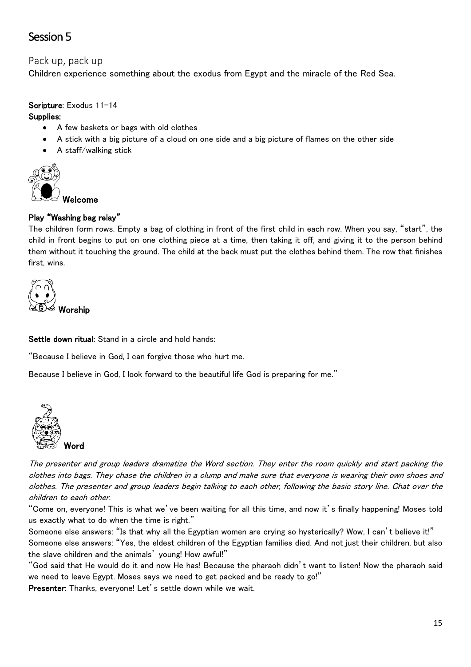# Session 5

## Pack up, pack up

Children experience something about the exodus from Egypt and the miracle of the Red Sea.

### Scripture: Exodus 11-14

#### Supplies:

- A few baskets or bags with old clothes
- A stick with a big picture of a cloud on one side and a big picture of flames on the other side
- A staff/walking stick



# Play "Washing bag relay"

The children form rows. Empty a bag of clothing in front of the first child in each row. When you say, "start", the child in front begins to put on one clothing piece at a time, then taking it off, and giving it to the person behind them without it touching the ground. The child at the back must put the clothes behind them. The row that finishes first, wins.



Settle down ritual: Stand in a circle and hold hands:

"Because I believe in God, I can forgive those who hurt me.

Because I believe in God, I look forward to the beautiful life God is preparing for me."



The presenter and group leaders dramatize the Word section. They enter the room quickly and start packing the clothes into bags. They chase the children in a clump and make sure that everyone is wearing their own shoes and clothes. The presenter and group leaders begin talking to each other, following the basic story line. Chat over the children to each other.

"Come on, everyone! This is what we've been waiting for all this time, and now it's finally happening! Moses told us exactly what to do when the time is right."

Someone else answers: "Is that why all the Egyptian women are crying so hysterically? Wow, I can't believe it!" Someone else answers: "Yes, the eldest children of the Egyptian families died. And not just their children, but also the slave children and the animals' young! How awful!"

"God said that He would do it and now He has! Because the pharaoh didn't want to listen! Now the pharaoh said we need to leave Egypt. Moses says we need to get packed and be ready to go!"

Presenter: Thanks, everyone! Let's settle down while we wait.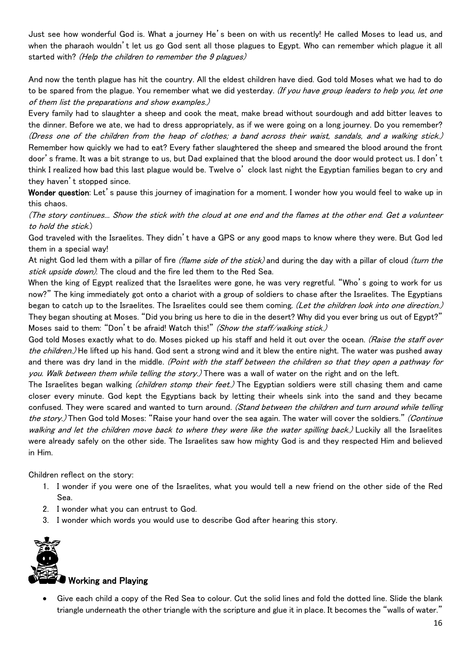Just see how wonderful God is. What a journey He's been on with us recently! He called Moses to lead us, and when the pharaoh wouldn't let us go God sent all those plagues to Egypt. Who can remember which plague it all started with? (Help the children to remember the 9 plagues)

And now the tenth plague has hit the country. All the eldest children have died. God told Moses what we had to do to be spared from the plague. You remember what we did yesterday. (If you have group leaders to help you, let one of them list the preparations and show examples.)

Every family had to slaughter a sheep and cook the meat, make bread without sourdough and add bitter leaves to the dinner. Before we ate, we had to dress appropriately, as if we were going on a long journey. Do you remember? (Dress one of the children from the heap of clothes; a band across their waist, sandals, and a walking stick.) Remember how quickly we had to eat? Every father slaughtered the sheep and smeared the blood around the front door's frame. It was a bit strange to us, but Dad explained that the blood around the door would protect us. I don't think I realized how bad this last plague would be. Twelve o' clock last night the Egyptian families began to cry and they haven't stopped since.

Wonder question: Let's pause this journey of imagination for a moment. I wonder how you would feel to wake up in this chaos.

(The story continues... Show the stick with the cloud at one end and the flames at the other end. Get a volunteer to hold the stick.)

God traveled with the Israelites. They didn't have a GPS or any good maps to know where they were. But God led them in a special way!

At night God led them with a pillar of fire (flame side of the stick) and during the day with a pillar of cloud (turn the stick upside down). The cloud and the fire led them to the Red Sea.

When the king of Egypt realized that the Israelites were gone, he was very regretful. "Who's going to work for us now?" The king immediately got onto a chariot with a group of soldiers to chase after the Israelites. The Egyptians began to catch up to the Israelites. The Israelites could see them coming. (Let the children look into one direction.) They began shouting at Moses. "Did you bring us here to die in the desert? Why did you ever bring us out of Egypt?" Moses said to them: "Don't be afraid! Watch this!" (Show the staff/walking stick.)

God told Moses exactly what to do. Moses picked up his staff and held it out over the ocean. (Raise the staff over the children.) He lifted up his hand. God sent a strong wind and it blew the entire night. The water was pushed away and there was dry land in the middle. (Point with the staff between the children so that they open a pathway for you. Walk between them while telling the story.) There was a wall of water on the right and on the left.

The Israelites began walking *(children stomp their feet.)* The Egyptian soldiers were still chasing them and came closer every minute. God kept the Egyptians back by letting their wheels sink into the sand and they became confused. They were scared and wanted to turn around. (Stand between the children and turn around while telling the story.) Then God told Moses: "Raise your hand over the sea again. The water will cover the soldiers." (Continue walking and let the children move back to where they were like the water spilling back.) Luckily all the Israelites were already safely on the other side. The Israelites saw how mighty God is and they respected Him and believed in Him.

Children reflect on the story:

- 1. I wonder if you were one of the Israelites, what you would tell a new friend on the other side of the Red Sea.
- 2. I wonder what you can entrust to God.
- 3. I wonder which words you would use to describe God after hearing this story.



#### Working and Playing

• Give each child a copy of the Red Sea to colour. Cut the solid lines and fold the dotted line. Slide the blank triangle underneath the other triangle with the scripture and glue it in place. It becomes the "walls of water."